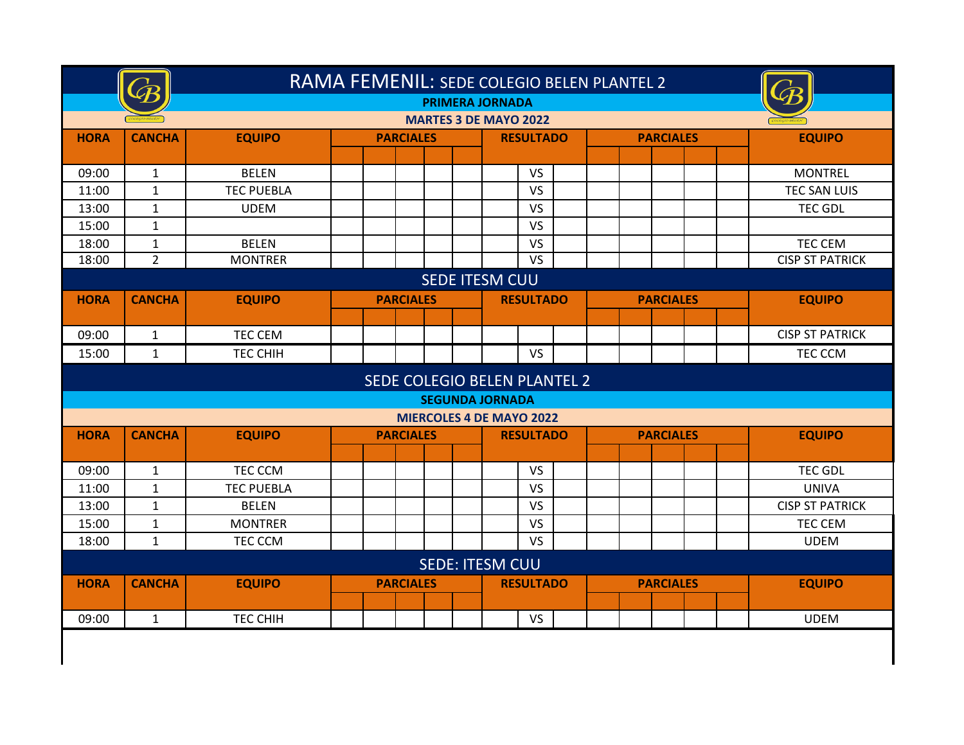|             | RAMA FEMENIL: SEDE COLEGIO BELEN PLANTEL 2<br><b>PRIMERA JORNADA</b> |                   |  |                  |                                 |           |  |                  |  |                        |  |  |  |  |
|-------------|----------------------------------------------------------------------|-------------------|--|------------------|---------------------------------|-----------|--|------------------|--|------------------------|--|--|--|--|
|             |                                                                      |                   |  |                  | <b>MARTES 3 DE MAYO 2022</b>    |           |  |                  |  |                        |  |  |  |  |
| <b>HORA</b> | <b>CANCHA</b>                                                        | <b>EQUIPO</b>     |  | <b>PARCIALES</b> | <b>RESULTADO</b>                |           |  | <b>PARCIALES</b> |  | <b>EQUIPO</b>          |  |  |  |  |
|             |                                                                      |                   |  |                  |                                 |           |  |                  |  |                        |  |  |  |  |
| 09:00       | $\mathbf{1}$                                                         | <b>BELEN</b>      |  |                  | <b>VS</b>                       |           |  |                  |  | <b>MONTREL</b>         |  |  |  |  |
| 11:00       | $\mathbf{1}$                                                         | <b>TEC PUEBLA</b> |  |                  | <b>VS</b>                       |           |  |                  |  | TEC SAN LUIS           |  |  |  |  |
| 13:00       | $\mathbf{1}$                                                         | <b>UDEM</b>       |  |                  | VS                              |           |  |                  |  | <b>TEC GDL</b>         |  |  |  |  |
| 15:00       | $\mathbf{1}$                                                         |                   |  |                  | <b>VS</b>                       |           |  |                  |  |                        |  |  |  |  |
| 18:00       | $\mathbf{1}$                                                         | <b>BELEN</b>      |  |                  | <b>VS</b>                       |           |  |                  |  | TEC CEM                |  |  |  |  |
| 18:00       | $\overline{2}$                                                       | <b>MONTRER</b>    |  |                  | $\overline{\mathsf{vs}}$        |           |  |                  |  | <b>CISP ST PATRICK</b> |  |  |  |  |
|             | <b>SEDE ITESM CUU</b><br><b>EQUIPO</b><br><b>PARCIALES</b>           |                   |  |                  |                                 |           |  |                  |  |                        |  |  |  |  |
| <b>HORA</b> | <b>CANCHA</b>                                                        | <b>EQUIPO</b>     |  |                  |                                 |           |  |                  |  |                        |  |  |  |  |
|             |                                                                      |                   |  |                  |                                 |           |  |                  |  |                        |  |  |  |  |
| 09:00       | $\mathbf{1}$                                                         | <b>TEC CEM</b>    |  |                  |                                 |           |  |                  |  | <b>CISP ST PATRICK</b> |  |  |  |  |
| 15:00       | $\mathbf{1}$                                                         | <b>TEC CHIH</b>   |  |                  |                                 | <b>VS</b> |  |                  |  | TEC CCM                |  |  |  |  |
|             | SEDE COLEGIO BELEN PLANTEL 2                                         |                   |  |                  |                                 |           |  |                  |  |                        |  |  |  |  |
|             |                                                                      |                   |  |                  | <b>SEGUNDA JORNADA</b>          |           |  |                  |  |                        |  |  |  |  |
|             |                                                                      |                   |  |                  | <b>MIERCOLES 4 DE MAYO 2022</b> |           |  |                  |  |                        |  |  |  |  |
| <b>HORA</b> | <b>CANCHA</b>                                                        | <b>EQUIPO</b>     |  | <b>PARCIALES</b> | <b>RESULTADO</b>                |           |  | <b>PARCIALES</b> |  | <b>EQUIPO</b>          |  |  |  |  |
|             |                                                                      |                   |  |                  |                                 |           |  |                  |  |                        |  |  |  |  |
| 09:00       | $\mathbf{1}$                                                         | TEC CCM           |  |                  | <b>VS</b>                       |           |  |                  |  | <b>TEC GDL</b>         |  |  |  |  |
| 11:00       | $\mathbf{1}$                                                         | <b>TEC PUEBLA</b> |  |                  | <b>VS</b>                       |           |  |                  |  | <b>UNIVA</b>           |  |  |  |  |
| 13:00       | $\mathbf{1}$                                                         | <b>BELEN</b>      |  |                  | <b>VS</b>                       |           |  |                  |  | <b>CISP ST PATRICK</b> |  |  |  |  |
| 15:00       | $\mathbf{1}$                                                         | <b>MONTRER</b>    |  |                  | VS                              |           |  |                  |  | TEC CEM                |  |  |  |  |
| 18:00       | $\mathbf{1}$                                                         | TEC CCM           |  |                  | <b>VS</b>                       |           |  |                  |  | <b>UDEM</b>            |  |  |  |  |
|             |                                                                      |                   |  |                  | <b>SEDE: ITESM CUU</b>          |           |  |                  |  |                        |  |  |  |  |
| <b>HORA</b> | <b>CANCHA</b>                                                        | <b>EQUIPO</b>     |  | <b>PARCIALES</b> | <b>RESULTADO</b>                |           |  | <b>PARCIALES</b> |  | <b>EQUIPO</b>          |  |  |  |  |
|             |                                                                      |                   |  |                  |                                 |           |  |                  |  |                        |  |  |  |  |
| 09:00       | $\mathbf{1}$                                                         | <b>TEC CHIH</b>   |  |                  |                                 | <b>VS</b> |  |                  |  | <b>UDEM</b>            |  |  |  |  |
|             |                                                                      |                   |  |                  |                                 |           |  |                  |  |                        |  |  |  |  |
|             |                                                                      |                   |  |                  |                                 |           |  |                  |  |                        |  |  |  |  |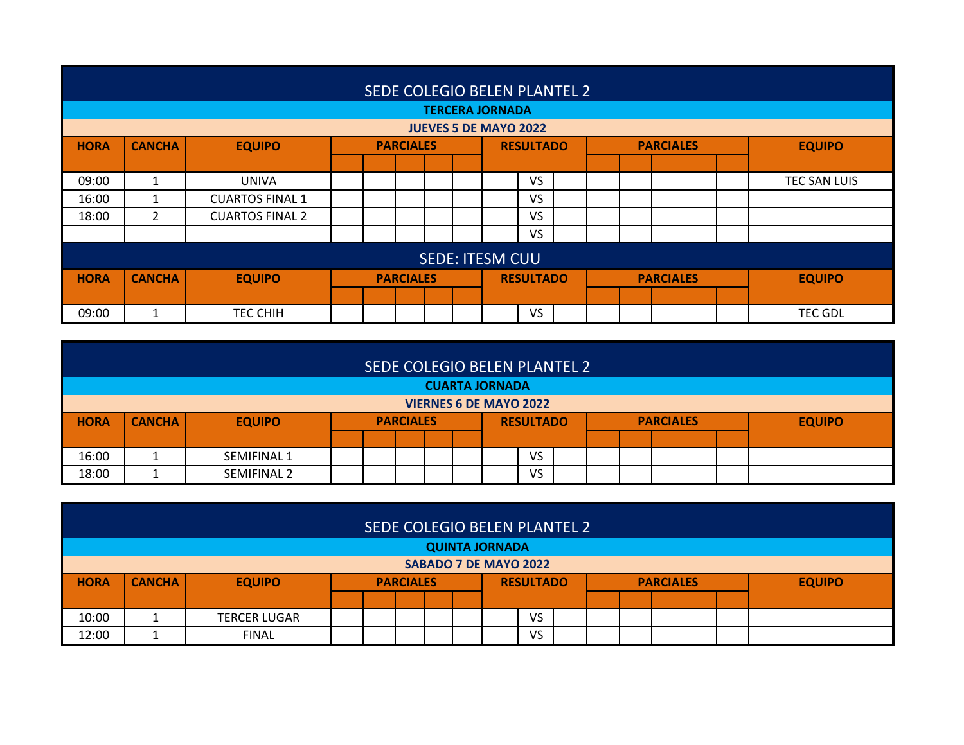|                              | SEDE COLEGIO BELEN PLANTEL 2                                                                                |                        |                  |  |  |  |                  |  |  |  |                  |  |  |                |  |
|------------------------------|-------------------------------------------------------------------------------------------------------------|------------------------|------------------|--|--|--|------------------|--|--|--|------------------|--|--|----------------|--|
|                              | <b>TERCERA JORNADA</b>                                                                                      |                        |                  |  |  |  |                  |  |  |  |                  |  |  |                |  |
| <b>JUEVES 5 DE MAYO 2022</b> |                                                                                                             |                        |                  |  |  |  |                  |  |  |  |                  |  |  |                |  |
| <b>HORA</b>                  | <b>CANCHA</b><br><b>EQUIPO</b><br><b>PARCIALES</b><br><b>PARCIALES</b><br><b>EQUIPO</b><br><b>RESULTADO</b> |                        |                  |  |  |  |                  |  |  |  |                  |  |  |                |  |
|                              |                                                                                                             |                        |                  |  |  |  |                  |  |  |  |                  |  |  |                |  |
| 09:00                        | 1                                                                                                           | <b>UNIVA</b>           |                  |  |  |  | <b>VS</b>        |  |  |  |                  |  |  | TEC SAN LUIS   |  |
| 16:00                        | 1                                                                                                           | <b>CUARTOS FINAL 1</b> |                  |  |  |  | <b>VS</b>        |  |  |  |                  |  |  |                |  |
| 18:00                        | $\overline{2}$                                                                                              | <b>CUARTOS FINAL 2</b> |                  |  |  |  | <b>VS</b>        |  |  |  |                  |  |  |                |  |
|                              |                                                                                                             |                        |                  |  |  |  | <b>VS</b>        |  |  |  |                  |  |  |                |  |
|                              | <b>SEDE: ITESM CUU</b>                                                                                      |                        |                  |  |  |  |                  |  |  |  |                  |  |  |                |  |
| <b>HORA</b>                  | <b>CANCHA</b>                                                                                               | <b>EQUIPO</b>          | <b>PARCIALES</b> |  |  |  | <b>RESULTADO</b> |  |  |  | <b>PARCIALES</b> |  |  | <b>EQUIPO</b>  |  |
|                              |                                                                                                             |                        |                  |  |  |  |                  |  |  |  |                  |  |  |                |  |
| 09:00                        |                                                                                                             | TEC CHIH               |                  |  |  |  | <b>VS</b>        |  |  |  |                  |  |  | <b>TEC GDL</b> |  |

| <b>CUARTA JORNADA</b> |                               |               |  |  |                  |  |  |                  |  |  |  |                  |  |  |               |
|-----------------------|-------------------------------|---------------|--|--|------------------|--|--|------------------|--|--|--|------------------|--|--|---------------|
|                       | <b>VIERNES 6 DE MAYO 2022</b> |               |  |  |                  |  |  |                  |  |  |  |                  |  |  |               |
| <b>HORA</b>           | <b>CANCHA</b>                 | <b>EQUIPO</b> |  |  | <b>PARCIALES</b> |  |  | <b>RESULTADO</b> |  |  |  | <b>PARCIALES</b> |  |  | <b>EQUIPO</b> |
|                       |                               |               |  |  |                  |  |  |                  |  |  |  |                  |  |  |               |
| 16:00                 |                               | SEMIFINAL 1   |  |  |                  |  |  | VS               |  |  |  |                  |  |  |               |
| 18:00                 |                               | SEMIFINAL 2   |  |  |                  |  |  | VS               |  |  |  |                  |  |  |               |

|                       | SEDE COLEGIO BELEN PLANTEL 2 |                     |  |                  |  |  |  |  |                  |  |  |  |                  |  |               |
|-----------------------|------------------------------|---------------------|--|------------------|--|--|--|--|------------------|--|--|--|------------------|--|---------------|
| <b>QUINTA JORNADA</b> |                              |                     |  |                  |  |  |  |  |                  |  |  |  |                  |  |               |
| SABADO 7 DE MAYO 2022 |                              |                     |  |                  |  |  |  |  |                  |  |  |  |                  |  |               |
| <b>HORA</b>           | <b>CANCHA</b>                | <b>EQUIPO</b>       |  | <b>PARCIALES</b> |  |  |  |  | <b>RESULTADO</b> |  |  |  | <b>PARCIALES</b> |  | <b>EQUIPO</b> |
|                       |                              |                     |  |                  |  |  |  |  |                  |  |  |  |                  |  |               |
| 10:00                 |                              | <b>TERCER LUGAR</b> |  |                  |  |  |  |  | VS               |  |  |  |                  |  |               |
| 12:00                 |                              | <b>FINAL</b>        |  |                  |  |  |  |  | VS               |  |  |  |                  |  |               |